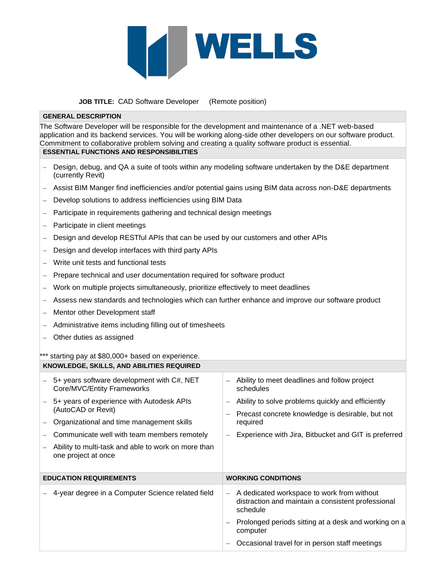

## **JOB TITLE:** CAD Software Developer (Remote position)

## **GENERAL DESCRIPTION**

The Software Developer will be responsible for the development and maintenance of a .NET web-based application and its backend services. You will be working along-side other developers on our software product. Commitment to collaborative problem solving and creating a quality software product is essential. **ESSENTIAL FUNCTIONS AND RESPONSIBILITIES**

- − Design, debug, and QA a suite of tools within any modeling software undertaken by the D&E department (currently Revit)
- − Assist BIM Manger find inefficiencies and/or potential gains using BIM data across non-D&E departments
- − Develop solutions to address inefficiencies using BIM Data
- − Participate in requirements gathering and technical design meetings
- − Participate in client meetings
- − Design and develop RESTful APIs that can be used by our customers and other APIs
- − Design and develop interfaces with third party APIs
- − Write unit tests and functional tests
- Prepare technical and user documentation required for software product
- − Work on multiple projects simultaneously, prioritize effectively to meet deadlines
- − Assess new standards and technologies which can further enhance and improve our software product
- − Mentor other Development staff
- − Administrative items including filling out of timesheets
- − Other duties as assigned

\*\* starting pay at \$80,000+ based on experience. **KNOWLEDGE, SKILLS, AND ABILITIES REQUIRED**

| KNOWLEDGE, SKILLS, AND ABILITIES REQUIRED |                                                                                                                           |                           |                                                                                                                   |
|-------------------------------------------|---------------------------------------------------------------------------------------------------------------------------|---------------------------|-------------------------------------------------------------------------------------------------------------------|
|                                           | 5+ years software development with C#, NET<br>Core/MVC/Entity Frameworks                                                  |                           | Ability to meet deadlines and follow project<br>schedules                                                         |
|                                           | 5+ years of experience with Autodesk APIs<br>(AutoCAD or Revit)<br>Organizational and time management skills              |                           | Ability to solve problems quickly and efficiently<br>Precast concrete knowledge is desirable, but not<br>required |
|                                           | Communicate well with team members remotely<br>Ability to multi-task and able to work on more than<br>one project at once |                           | Experience with Jira, Bitbucket and GIT is preferred                                                              |
| <b>EDUCATION REQUIREMENTS</b>             |                                                                                                                           | <b>WORKING CONDITIONS</b> |                                                                                                                   |
|                                           | 4-year degree in a Computer Science related field                                                                         |                           | A dedicated workspace to work from without<br>distraction and maintain a consistent professional<br>schedule      |
|                                           |                                                                                                                           |                           | Prolonged periods sitting at a desk and working on a<br>computer                                                  |
|                                           |                                                                                                                           |                           | Occasional travel for in person staff meetings                                                                    |